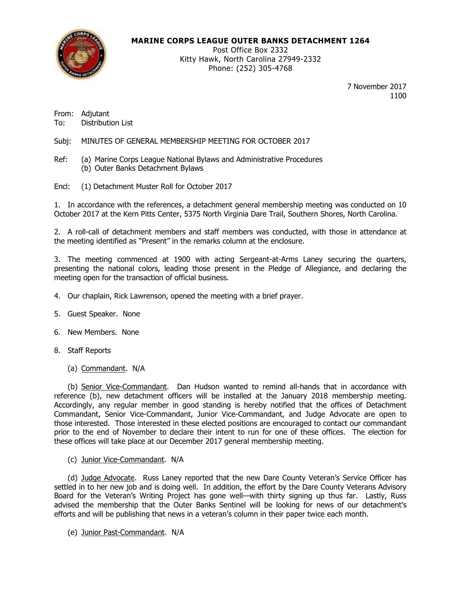

### **MARINE CORPS LEAGUE OUTER BANKS DETACHMENT 1264**

Post Office Box 2332 Kitty Hawk, North Carolina 27949-2332 Phone: (252) 305-4768

> 7 November 2017 1100

From: Adjutant To: Distribution List

Subj: MINUTES OF GENERAL MEMBERSHIP MEETING FOR OCTOBER 2017

- Ref: (a) Marine Corps League National Bylaws and Administrative Procedures (b) Outer Banks Detachment Bylaws
- Encl: (1) Detachment Muster Roll for October 2017

1. In accordance with the references, a detachment general membership meeting was conducted on 10 October 2017 at the Kern Pitts Center, 5375 North Virginia Dare Trail, Southern Shores, North Carolina.

2. A roll-call of detachment members and staff members was conducted, with those in attendance at the meeting identified as "Present" in the remarks column at the enclosure.

3. The meeting commenced at 1900 with acting Sergeant-at-Arms Laney securing the quarters, presenting the national colors, leading those present in the Pledge of Allegiance, and declaring the meeting open for the transaction of official business.

- 4. Our chaplain, Rick Lawrenson, opened the meeting with a brief prayer.
- 5. Guest Speaker. None
- 6. New Members. None
- 8. Staff Reports
	- (a) Commandant. N/A

(b) Senior Vice-Commandant. Dan Hudson wanted to remind all-hands that in accordance with reference (b), new detachment officers will be installed at the January 2018 membership meeting. Accordingly, any regular member in good standing is hereby notified that the offices of Detachment Commandant, Senior Vice-Commandant, Junior Vice-Commandant, and Judge Advocate are open to those interested. Those interested in these elected positions are encouraged to contact our commandant prior to the end of November to declare their intent to run for one of these offices. The election for these offices will take place at our December 2017 general membership meeting.

(c) Junior Vice-Commandant. N/A

(d) Judge Advocate. Russ Laney reported that the new Dare County Veteran's Service Officer has settled in to her new job and is doing well. In addition, the effort by the Dare County Veterans Advisory Board for the Veteran's Writing Project has gone well—with thirty signing up thus far. Lastly, Russ advised the membership that the Outer Banks Sentinel will be looking for news of our detachment's efforts and will be publishing that news in a veteran's column in their paper twice each month.

(e) Junior Past-Commandant. N/A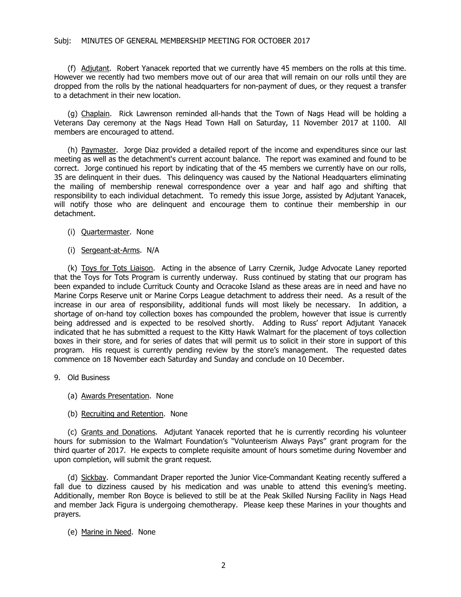### Subj: MINUTES OF GENERAL MEMBERSHIP MEETING FOR OCTOBER 2017

(f) Adjutant. Robert Yanacek reported that we currently have 45 members on the rolls at this time. However we recently had two members move out of our area that will remain on our rolls until they are dropped from the rolls by the national headquarters for non-payment of dues, or they request a transfer to a detachment in their new location.

(g) Chaplain. Rick Lawrenson reminded all-hands that the Town of Nags Head will be holding a Veterans Day ceremony at the Nags Head Town Hall on Saturday, 11 November 2017 at 1100. All members are encouraged to attend.

(h) Paymaster. Jorge Diaz provided a detailed report of the income and expenditures since our last meeting as well as the detachment's current account balance. The report was examined and found to be correct. Jorge continued his report by indicating that of the 45 members we currently have on our rolls, 35 are delinquent in their dues. This delinquency was caused by the National Headquarters eliminating the mailing of membership renewal correspondence over a year and half ago and shifting that responsibility to each individual detachment. To remedy this issue Jorge, assisted by Adjutant Yanacek, will notify those who are delinquent and encourage them to continue their membership in our detachment.

- (i) Quartermaster. None
- (i) Sergeant-at-Arms. N/A

(k) Toys for Tots Liaison. Acting in the absence of Larry Czernik, Judge Advocate Laney reported that the Toys for Tots Program is currently underway. Russ continued by stating that our program has been expanded to include Currituck County and Ocracoke Island as these areas are in need and have no Marine Corps Reserve unit or Marine Corps League detachment to address their need. As a result of the increase in our area of responsibility, additional funds will most likely be necessary. In addition, a shortage of on-hand toy collection boxes has compounded the problem, however that issue is currently being addressed and is expected to be resolved shortly. Adding to Russ' report Adjutant Yanacek indicated that he has submitted a request to the Kitty Hawk Walmart for the placement of toys collection boxes in their store, and for series of dates that will permit us to solicit in their store in support of this program. His request is currently pending review by the store's management. The requested dates commence on 18 November each Saturday and Sunday and conclude on 10 December.

- 9. Old Business
	- (a) Awards Presentation. None
	- (b) Recruiting and Retention. None

(c) Grants and Donations. Adjutant Yanacek reported that he is currently recording his volunteer hours for submission to the Walmart Foundation's "Volunteerism Always Pays" grant program for the third quarter of 2017. He expects to complete requisite amount of hours sometime during November and upon completion, will submit the grant request.

(d) Sickbay. Commandant Draper reported the Junior Vice-Commandant Keating recently suffered a fall due to dizziness caused by his medication and was unable to attend this evening's meeting. Additionally, member Ron Boyce is believed to still be at the Peak Skilled Nursing Facility in Nags Head and member Jack Figura is undergoing chemotherapy. Please keep these Marines in your thoughts and prayers.

(e) Marine in Need. None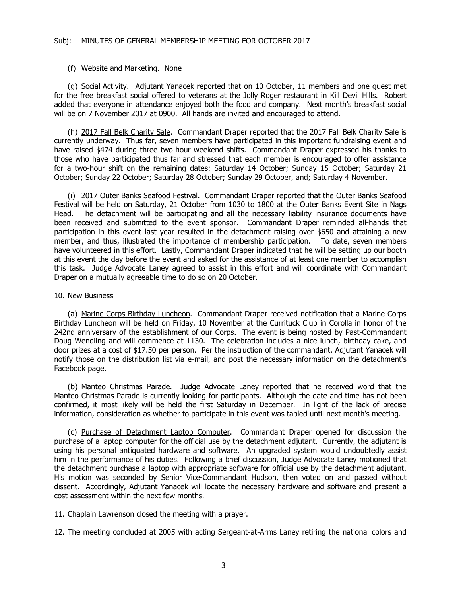#### (f) Website and Marketing. None

(g) Social Activity. Adjutant Yanacek reported that on 10 October, 11 members and one guest met for the free breakfast social offered to veterans at the Jolly Roger restaurant in Kill Devil Hills. Robert added that everyone in attendance enjoyed both the food and company. Next month's breakfast social will be on 7 November 2017 at 0900. All hands are invited and encouraged to attend.

(h) 2017 Fall Belk Charity Sale. Commandant Draper reported that the 2017 Fall Belk Charity Sale is currently underway. Thus far, seven members have participated in this important fundraising event and have raised \$474 during three two-hour weekend shifts. Commandant Draper expressed his thanks to those who have participated thus far and stressed that each member is encouraged to offer assistance for a two-hour shift on the remaining dates: Saturday 14 October; Sunday 15 October; Saturday 21 October; Sunday 22 October; Saturday 28 October; Sunday 29 October, and; Saturday 4 November.

(i) 2017 Outer Banks Seafood Festival. Commandant Draper reported that the Outer Banks Seafood Festival will be held on Saturday, 21 October from 1030 to 1800 at the Outer Banks Event Site in Nags Head. The detachment will be participating and all the necessary liability insurance documents have been received and submitted to the event sponsor. Commandant Draper reminded all-hands that participation in this event last year resulted in the detachment raising over \$650 and attaining a new member, and thus, illustrated the importance of membership participation. To date, seven members have volunteered in this effort. Lastly, Commandant Draper indicated that he will be setting up our booth at this event the day before the event and asked for the assistance of at least one member to accomplish this task. Judge Advocate Laney agreed to assist in this effort and will coordinate with Commandant Draper on a mutually agreeable time to do so on 20 October.

#### 10. New Business

(a) Marine Corps Birthday Luncheon. Commandant Draper received notification that a Marine Corps Birthday Luncheon will be held on Friday, 10 November at the Currituck Club in Corolla in honor of the 242nd anniversary of the establishment of our Corps. The event is being hosted by Past-Commandant Doug Wendling and will commence at 1130. The celebration includes a nice lunch, birthday cake, and door prizes at a cost of \$17.50 per person. Per the instruction of the commandant, Adjutant Yanacek will notify those on the distribution list via e-mail, and post the necessary information on the detachment's Facebook page.

(b) Manteo Christmas Parade. Judge Advocate Laney reported that he received word that the Manteo Christmas Parade is currently looking for participants. Although the date and time has not been confirmed, it most likely will be held the first Saturday in December. In light of the lack of precise information, consideration as whether to participate in this event was tabled until next month's meeting.

(c) Purchase of Detachment Laptop Computer. Commandant Draper opened for discussion the purchase of a laptop computer for the official use by the detachment adjutant. Currently, the adjutant is using his personal antiquated hardware and software. An upgraded system would undoubtedly assist him in the performance of his duties. Following a brief discussion, Judge Advocate Laney motioned that the detachment purchase a laptop with appropriate software for official use by the detachment adjutant. His motion was seconded by Senior Vice-Commandant Hudson, then voted on and passed without dissent. Accordingly, Adjutant Yanacek will locate the necessary hardware and software and present a cost-assessment within the next few months.

11. Chaplain Lawrenson closed the meeting with a prayer.

12. The meeting concluded at 2005 with acting Sergeant-at-Arms Laney retiring the national colors and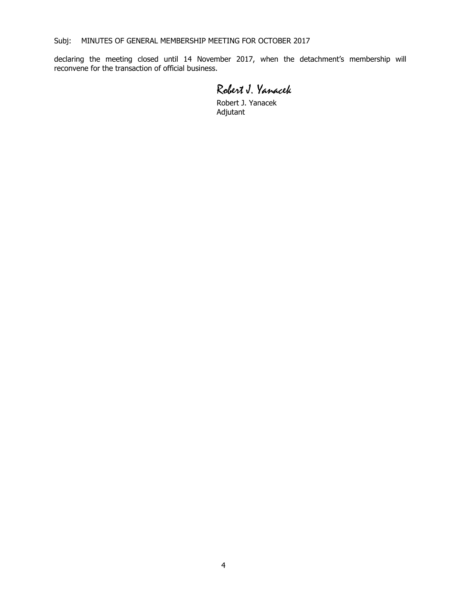declaring the meeting closed until 14 November 2017, when the detachment's membership will reconvene for the transaction of official business.

Robert J. Yanacek

Robert J. Yanacek Adjutant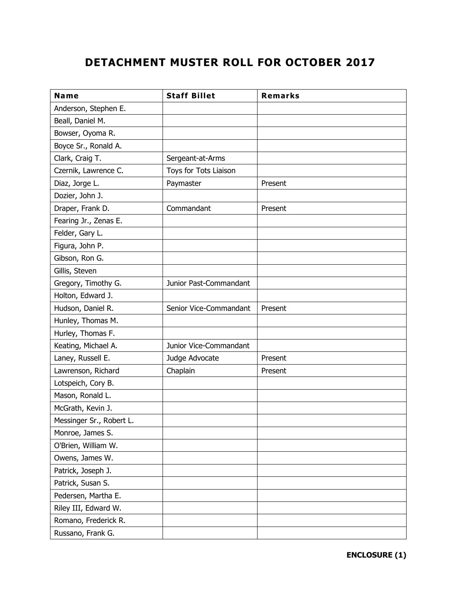# **DETACHMENT MUSTER ROLL FOR OCTOBER 2017**

| Name                     | <b>Staff Billet</b>    | <b>Remarks</b> |
|--------------------------|------------------------|----------------|
| Anderson, Stephen E.     |                        |                |
| Beall, Daniel M.         |                        |                |
| Bowser, Oyoma R.         |                        |                |
| Boyce Sr., Ronald A.     |                        |                |
| Clark, Craig T.          | Sergeant-at-Arms       |                |
| Czernik, Lawrence C.     | Toys for Tots Liaison  |                |
| Diaz, Jorge L.           | Paymaster              | Present        |
| Dozier, John J.          |                        |                |
| Draper, Frank D.         | Commandant             | Present        |
| Fearing Jr., Zenas E.    |                        |                |
| Felder, Gary L.          |                        |                |
| Figura, John P.          |                        |                |
| Gibson, Ron G.           |                        |                |
| Gillis, Steven           |                        |                |
| Gregory, Timothy G.      | Junior Past-Commandant |                |
| Holton, Edward J.        |                        |                |
| Hudson, Daniel R.        | Senior Vice-Commandant | Present        |
| Hunley, Thomas M.        |                        |                |
| Hurley, Thomas F.        |                        |                |
| Keating, Michael A.      | Junior Vice-Commandant |                |
| Laney, Russell E.        | Judge Advocate         | Present        |
| Lawrenson, Richard       | Chaplain               | Present        |
| Lotspeich, Cory B.       |                        |                |
| Mason, Ronald L.         |                        |                |
| McGrath, Kevin J.        |                        |                |
| Messinger Sr., Robert L. |                        |                |
| Monroe, James S.         |                        |                |
| O'Brien, William W.      |                        |                |
| Owens, James W.          |                        |                |
| Patrick, Joseph J.       |                        |                |
| Patrick, Susan S.        |                        |                |
| Pedersen, Martha E.      |                        |                |
| Riley III, Edward W.     |                        |                |
| Romano, Frederick R.     |                        |                |
| Russano, Frank G.        |                        |                |

**ENCLOSURE (1)**